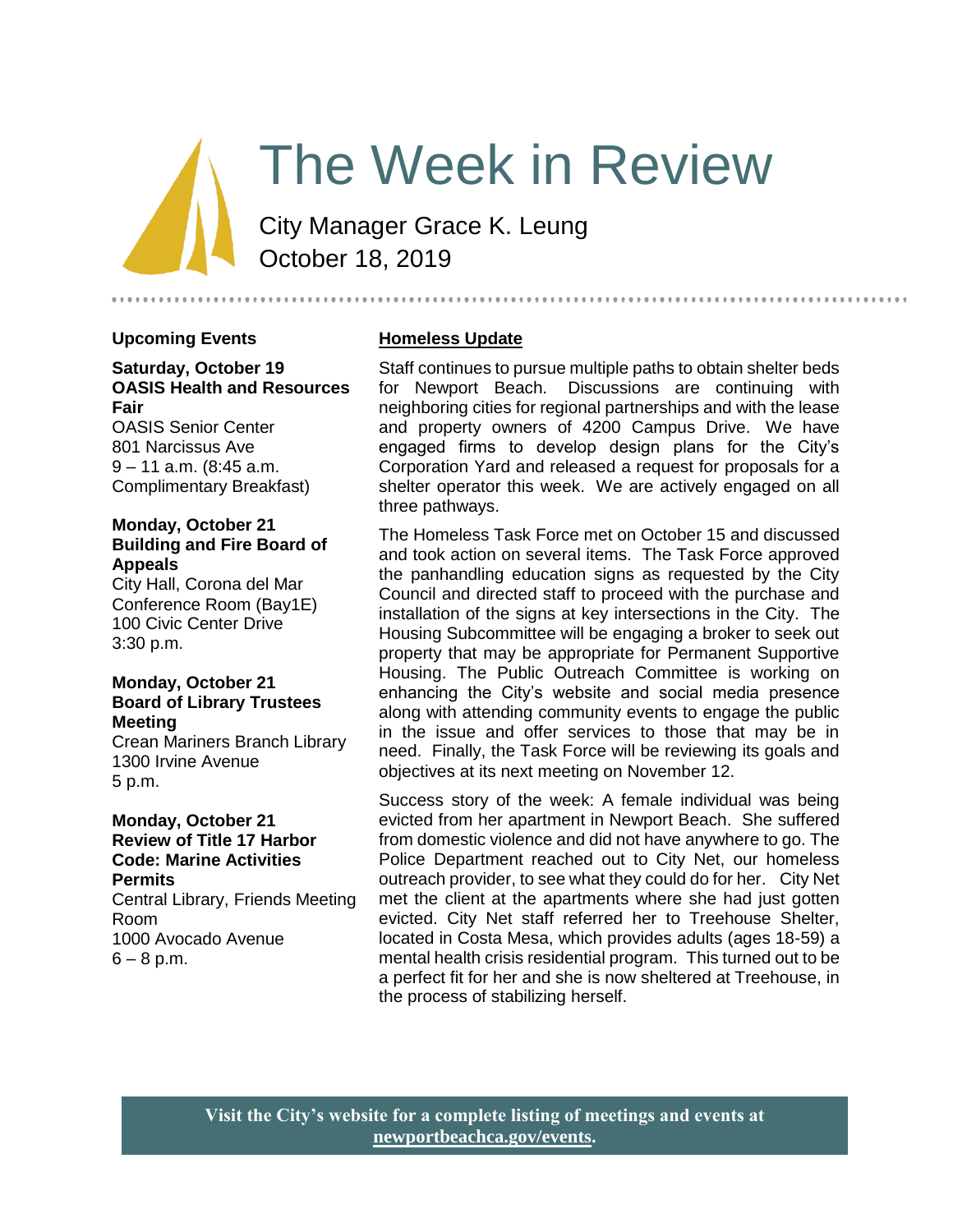# The Week in Review

City Manager Grace K. Leung October 18, 2019

## **Upcoming Events**

## **Saturday, October 19 OASIS Health and Resources Fair**

OASIS Senior Center 801 Narcissus Ave 9 – 11 a.m. (8:45 a.m. Complimentary Breakfast)

### **Monday, October 21 Building and Fire Board of Appeals**

City Hall, Corona del Mar Conference Room (Bay1E) 100 Civic Center Drive 3:30 p.m.

## **Monday, October 21 Board of Library Trustees Meeting**

Crean Mariners Branch Library 1300 Irvine Avenue 5 p.m.

### **Monday, October 21 Review of Title 17 Harbor Code: Marine Activities Permits**

Central Library, Friends Meeting Room 1000 Avocado Avenue  $6 - 8 p.m.$ 

## **Homeless Update**

Staff continues to pursue multiple paths to obtain shelter beds for Newport Beach. Discussions are continuing with neighboring cities for regional partnerships and with the lease and property owners of 4200 Campus Drive. We have engaged firms to develop design plans for the City's Corporation Yard and released a request for proposals for a shelter operator this week. We are actively engaged on all three pathways.

The Homeless Task Force met on October 15 and discussed and took action on several items. The Task Force approved the panhandling education signs as requested by the City Council and directed staff to proceed with the purchase and installation of the signs at key intersections in the City. The Housing Subcommittee will be engaging a broker to seek out property that may be appropriate for Permanent Supportive Housing. The Public Outreach Committee is working on enhancing the City's website and social media presence along with attending community events to engage the public in the issue and offer services to those that may be in need. Finally, the Task Force will be reviewing its goals and objectives at its next meeting on November 12.

Success story of the week: A female individual was being evicted from her apartment in Newport Beach. She suffered from domestic violence and did not have anywhere to go. The Police Department reached out to City Net, our homeless outreach provider, to see what they could do for her. City Net met the client at the apartments where she had just gotten evicted. City Net staff referred her to Treehouse Shelter, located in Costa Mesa, which provides adults (ages 18-59) a mental health crisis residential program. This turned out to be a perfect fit for her and she is now sheltered at Treehouse, in the process of stabilizing herself.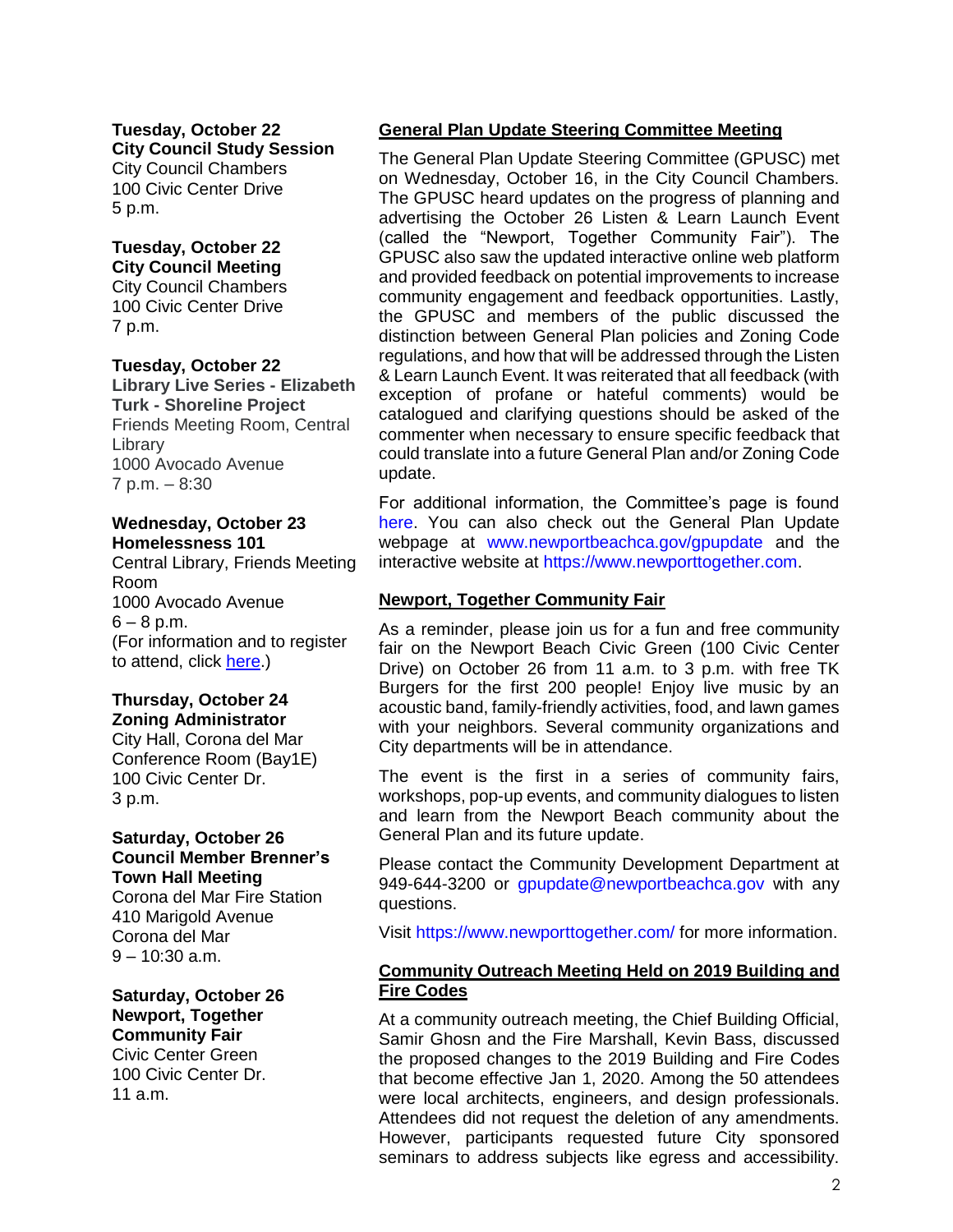**Tuesday, October 22 City Council Study Session** City Council Chambers 100 Civic Center Drive 5 p.m.

# **Tuesday, October 22 City Council Meeting**

City Council Chambers 100 Civic Center Drive 7 p.m.

## **Tuesday, October 22**

**Library Live Series - Elizabeth Turk - Shoreline Project** Friends Meeting Room, Central **Library** 1000 Avocado Avenue 7 p.m. – 8:30

## **Wednesday, October 23 Homelessness 101**

Central Library, Friends Meeting Room 1000 Avocado Avenue  $6 - 8$  p.m. (For information and to register to attend, click [here.](https://www.newportbeachca.gov/Home/Components/Calendar/Event/58861/72))

# **Thursday, October 24**

**Zoning Administrator** City Hall, Corona del Mar Conference Room (Bay1E) 100 Civic Center Dr. 3 p.m.

#### **Saturday, October 26 Council Member Brenner's Town Hall Meeting**

Corona del Mar Fire Station 410 Marigold Avenue Corona del Mar  $9 - 10:30$  a.m.

**Saturday, October 26 Newport, Together Community Fair** Civic Center Green 100 Civic Center Dr. 11 a.m.

# **General Plan Update Steering Committee Meeting**

The General Plan Update Steering Committee (GPUSC) met on Wednesday, October 16, in the City Council Chambers. The GPUSC heard updates on the progress of planning and advertising the October 26 Listen & Learn Launch Event (called the "Newport, Together Community Fair"). The GPUSC also saw the updated interactive online web platform and provided feedback on potential improvements to increase community engagement and feedback opportunities. Lastly, the GPUSC and members of the public discussed the distinction between General Plan policies and Zoning Code regulations, and how that will be addressed through the Listen & Learn Launch Event. It was reiterated that all feedback (with exception of profane or hateful comments) would be catalogued and clarifying questions should be asked of the commenter when necessary to ensure specific feedback that could translate into a future General Plan and/or Zoning Code update.

For additional information, the Committee's page is found [here.](https://www.newportbeachca.gov/government/departments/community-development/planning-division/general-plan-codes-and-regulations/general-plan-update/general-plan-update-steering-committee) You can also check out the General Plan Update webpage at [www.newportbeachca.gov/gpupdate](http://www.newportbeachca.gov/gpupdate) and the interactive website at [https://www.newporttogether.com.](https://www.newporttogether.com/)

## **Newport, Together Community Fair**

As a reminder, please join us for a fun and free community fair on the Newport Beach Civic Green (100 Civic Center Drive) on October 26 from 11 a.m. to 3 p.m. with free TK Burgers for the first 200 people! Enjoy live music by an acoustic band, family-friendly activities, food, and lawn games with your neighbors. Several community organizations and City departments will be in attendance.

The event is the first in a series of community fairs, workshops, pop-up events, and community dialogues to listen and learn from the Newport Beach community about the General Plan and its future update.

Please contact the Community Development Department at 949-644-3200 or [gpupdate@newportbeachca.gov](mailto:gpupdate@newportbeachca.gov) with any questions.

Visit<https://www.newporttogether.com/> for more information.

## **Community Outreach Meeting Held on 2019 Building and Fire Codes**

At a community outreach meeting, the Chief Building Official, Samir Ghosn and the Fire Marshall, Kevin Bass, discussed the proposed changes to the 2019 Building and Fire Codes that become effective Jan 1, 2020. Among the 50 attendees were local architects, engineers, and design professionals. Attendees did not request the deletion of any amendments. However, participants requested future City sponsored seminars to address subjects like egress and accessibility.